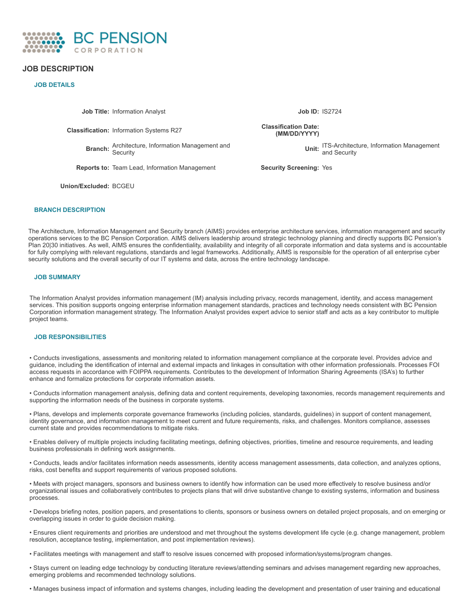

# **JOB DESCRIPTION**

# **JOB DETAILS**

**Job Title:** Information Analyst **Job ID:** IS2724

**Classification:** Information Systems R27

**Branch:** Architecture, Information Management and Security

**Reports to:** Team Lead, Information Management **Security Screening:** Yes

**Union/Excluded:** BCGEU

**Classification Date: (MM/DD/YYYY)**

> **Unit:** ITS-Architecture, Information Management and Security

# **BRANCH DESCRIPTION**

The Architecture, Information Management and Security branch (AIMS) provides enterprise architecture services, information management and security operations services to the BC Pension Corporation. AIMS delivers leadership around strategic technology planning and directly supports BC Pension's Plan 20|30 initiatives. As well, AIMS ensures the confidentiality, availability and integrity of all corporate information and data systems and is accountable for fully complying with relevant regulations, standards and legal frameworks. Additionally, AIMS is responsible for the operation of all enterprise cyber security solutions and the overall security of our IT systems and data, across the entire technology landscape.

## **JOB SUMMARY**

The Information Analyst provides information management (IM) analysis including privacy, records management, identity, and access management services. This position supports ongoing enterprise information management standards, practices and technology needs consistent with BC Pension Corporation information management strategy. The Information Analyst provides expert advice to senior staff and acts as a key contributor to multiple project teams.

# **JOB RESPONSIBILITIES**

• Conducts investigations, assessments and monitoring related to information management compliance at the corporate level. Provides advice and guidance, including the identification of internal and external impacts and linkages in consultation with other information professionals. Processes FOI access requests in accordance with FOIPPA requirements. Contributes to the development of Information Sharing Agreements (ISA's) to further enhance and formalize protections for corporate information assets.

• Conducts information management analysis, defining data and content requirements, developing taxonomies, records management requirements and supporting the information needs of the business in corporate systems.

• Plans, develops and implements corporate governance frameworks (including policies, standards, guidelines) in support of content management, identity governance, and information management to meet current and future requirements, risks, and challenges. Monitors compliance, assesses current state and provides recommendations to mitigate risks.

• Enables delivery of multiple projects including facilitating meetings, defining objectives, priorities, timeline and resource requirements, and leading business professionals in defining work assignments.

• Conducts, leads and/or facilitates information needs assessments, identity access management assessments, data collection, and analyzes options, risks, cost benefits and support requirements of various proposed solutions.

• Meets with project managers, sponsors and business owners to identify how information can be used more effectively to resolve business and/or organizational issues and collaboratively contributes to projects plans that will drive substantive change to existing systems, information and business processes.

• Develops briefing notes, position papers, and presentations to clients, sponsors or business owners on detailed project proposals, and on emerging or overlapping issues in order to guide decision making.

• Ensures client requirements and priorities are understood and met throughout the systems development life cycle (e.g. change management, problem resolution, acceptance testing, implementation, and post implementation reviews).

• Facilitates meetings with management and staff to resolve issues concerned with proposed information/systems/program changes.

• Stays current on leading edge technology by conducting literature reviews/attending seminars and advises management regarding new approaches, emerging problems and recommended technology solutions.

• Manages business impact of information and systems changes, including leading the development and presentation of user training and educational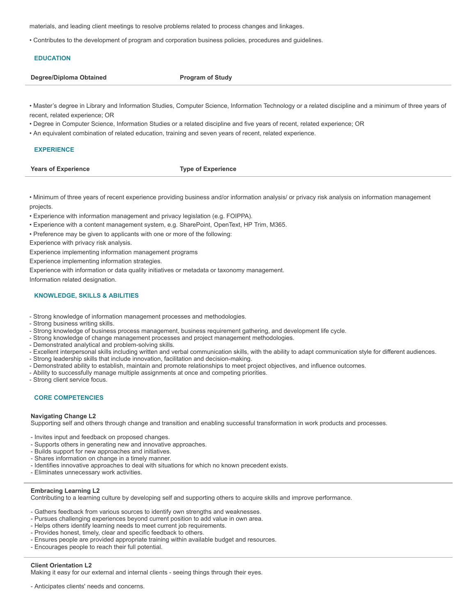materials, and leading client meetings to resolve problems related to process changes and linkages.

• Contributes to the development of program and corporation business policies, procedures and guidelines.

# **EDUCATION**

**Degree/Diploma Obtained Program** of Study

• Master's degree in Library and Information Studies, Computer Science, Information Technology or a related discipline and a minimum of three years of recent, related experience; OR

• Degree in Computer Science, Information Studies or a related discipline and five years of recent, related experience; OR

• An equivalent combination of related education, training and seven years of recent, related experience.

# **EXPERIENCE**

**Years of Experience Type of Experience**

• Minimum of three years of recent experience providing business and/or information analysis/ or privacy risk analysis on information management projects.

• Experience with information management and privacy legislation (e.g. FOIPPA).

- Experience with a content management system, e.g. SharePoint, OpenText, HP Trim, M365.
- Preference may be given to applicants with one or more of the following:

Experience with privacy risk analysis.

Experience implementing information management programs

Experience implementing information strategies.

Experience with information or data quality initiatives or metadata or taxonomy management.

Information related designation.

# **KNOWLEDGE, SKILLS & ABILITIES**

- Strong knowledge of information management processes and methodologies.
- Strong business writing skills.
- Strong knowledge of business process management, business requirement gathering, and development life cycle.
- Strong knowledge of change management processes and project management methodologies.
- Demonstrated analytical and problem-solving skills.
- Excellent interpersonal skills including written and verbal communication skills, with the ability to adapt communication style for different audiences.
- Strong leadership skills that include innovation, facilitation and decision-making.
- Demonstrated ability to establish, maintain and promote relationships to meet project objectives, and influence outcomes.
- Ability to successfully manage multiple assignments at once and competing priorities.
- Strong client service focus.

# **CORE COMPETENCIES**

### **Navigating Change L2**

Supporting self and others through change and transition and enabling successful transformation in work products and processes.

- Invites input and feedback on proposed changes.
- Supports others in generating new and innovative approaches.
- Builds support for new approaches and initiatives.
- Shares information on change in a timely manner.
- Identifies innovative approaches to deal with situations for which no known precedent exists.
- Eliminates unnecessary work activities.

### **Embracing Learning L2**

Contributing to a learning culture by developing self and supporting others to acquire skills and improve performance.

- Gathers feedback from various sources to identify own strengths and weaknesses.
- Pursues challenging experiences beyond current position to add value in own area.
- Helps others identify learning needs to meet current job requirements.
- Provides honest, timely, clear and specific feedback to others.
- Ensures people are provided appropriate training within available budget and resources.
- Encourages people to reach their full potential.

### **Client Orientation L2**

Making it easy for our external and internal clients - seeing things through their eyes.

- Anticipates clients' needs and concerns.